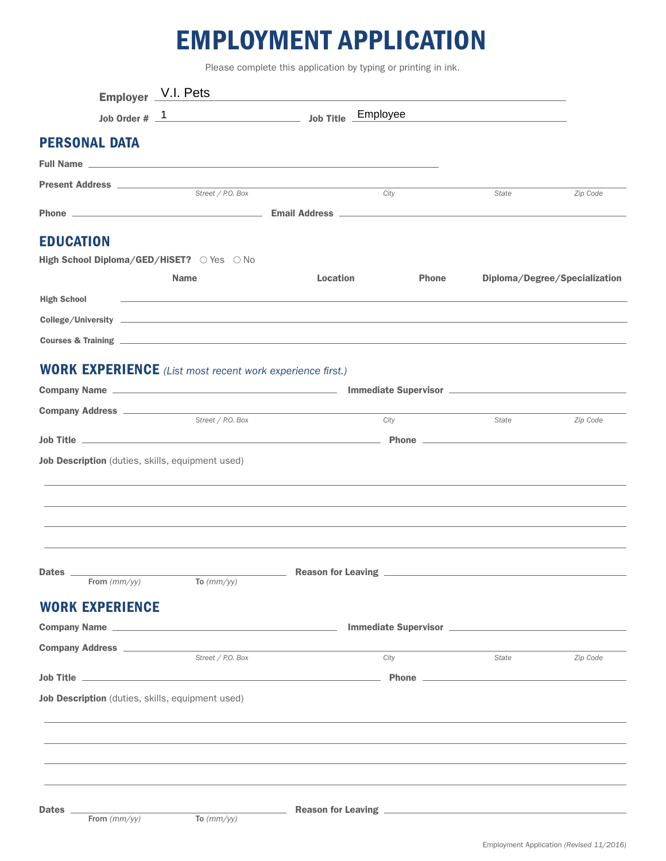## EMPLOYMENT APPLICATION

Please complete this application by typing or printing in ink.

|                                | Employer V.I. Pets                                                                                                                                                                                                                   |                        |              |       |                               |
|--------------------------------|--------------------------------------------------------------------------------------------------------------------------------------------------------------------------------------------------------------------------------------|------------------------|--------------|-------|-------------------------------|
|                                | Job Title Employee<br>Job Order $# 1$                                                                                                                                                                                                |                        |              |       |                               |
| <b>PERSONAL DATA</b>           |                                                                                                                                                                                                                                      |                        |              |       |                               |
|                                |                                                                                                                                                                                                                                      |                        |              |       |                               |
| Present Address ______________ | Street / P.O. Box                                                                                                                                                                                                                    |                        | City         | State | Zip Code                      |
|                                |                                                                                                                                                                                                                                      |                        |              |       |                               |
|                                |                                                                                                                                                                                                                                      |                        |              |       |                               |
| <b>EDUCATION</b>               |                                                                                                                                                                                                                                      |                        |              |       |                               |
|                                | High School Diploma/GED/HiSET? OYes ONo                                                                                                                                                                                              |                        |              |       |                               |
|                                | <b>Name</b>                                                                                                                                                                                                                          | <b>Location</b>        | <b>Phone</b> |       | Diploma/Degree/Specialization |
| <b>High School</b>             | <u>state and the state of the state of the state of the state of the state of the state of the state of the state of the state of the state of the state of the state of the state of the state of the state of the state of the</u> |                        |              |       |                               |
|                                |                                                                                                                                                                                                                                      |                        |              |       |                               |
|                                | Courses & Training experience and the contract of the contract of the contract of the contract of the contract of the contract of the contract of the contract of the contract of the contract of the contract of the contract       |                        |              |       |                               |
|                                | <b>WORK EXPERIENCE</b> (List most recent work experience first.)                                                                                                                                                                     |                        |              |       |                               |
|                                |                                                                                                                                                                                                                                      |                        |              |       |                               |
|                                |                                                                                                                                                                                                                                      |                        |              |       |                               |
|                                | Street / P.O. Box                                                                                                                                                                                                                    |                        | City         | State | Zip Code                      |
|                                | Job Title <b>Example 2018</b> The Contract of the Contract of the Contract of the Contract of the Contract of the Contract of the Contract of the Contract of the Contract of the Contract of the Contract of the Contract of the C  |                        |              |       |                               |
|                                | Job Description (duties, skills, equipment used)                                                                                                                                                                                     |                        |              |       |                               |
|                                |                                                                                                                                                                                                                                      |                        |              |       |                               |
|                                |                                                                                                                                                                                                                                      |                        |              |       |                               |
|                                |                                                                                                                                                                                                                                      |                        |              |       |                               |
|                                |                                                                                                                                                                                                                                      |                        |              |       |                               |
|                                |                                                                                                                                                                                                                                      |                        |              |       |                               |
| Dates _<br>From $(mm/yy)$      | To $(mm/yy)$                                                                                                                                                                                                                         | - Reason for Leaving - |              |       |                               |
|                                |                                                                                                                                                                                                                                      |                        |              |       |                               |
| <b>WORK EXPERIENCE</b>         |                                                                                                                                                                                                                                      |                        |              |       |                               |
|                                |                                                                                                                                                                                                                                      |                        |              |       |                               |
|                                | Street / P.O. Box                                                                                                                                                                                                                    |                        | City         | State | Zip Code                      |
|                                | <u>Job Title Processes and the contract of the contract of the contract of the contract of the contract of the contract of the contract of the contract of the contract of the contract of the contract of the contract of the c</u> |                        |              |       |                               |
|                                | Job Description (duties, skills, equipment used)                                                                                                                                                                                     |                        |              |       |                               |
|                                |                                                                                                                                                                                                                                      |                        |              |       |                               |
|                                |                                                                                                                                                                                                                                      |                        |              |       |                               |
|                                |                                                                                                                                                                                                                                      |                        |              |       |                               |
|                                |                                                                                                                                                                                                                                      |                        |              |       |                               |
|                                |                                                                                                                                                                                                                                      |                        |              |       |                               |
| Dates _                        |                                                                                                                                                                                                                                      |                        |              |       |                               |
| From $(mm/yy)$                 | $\sqrt{\text{To}}$ (mm/yy)                                                                                                                                                                                                           |                        |              |       |                               |